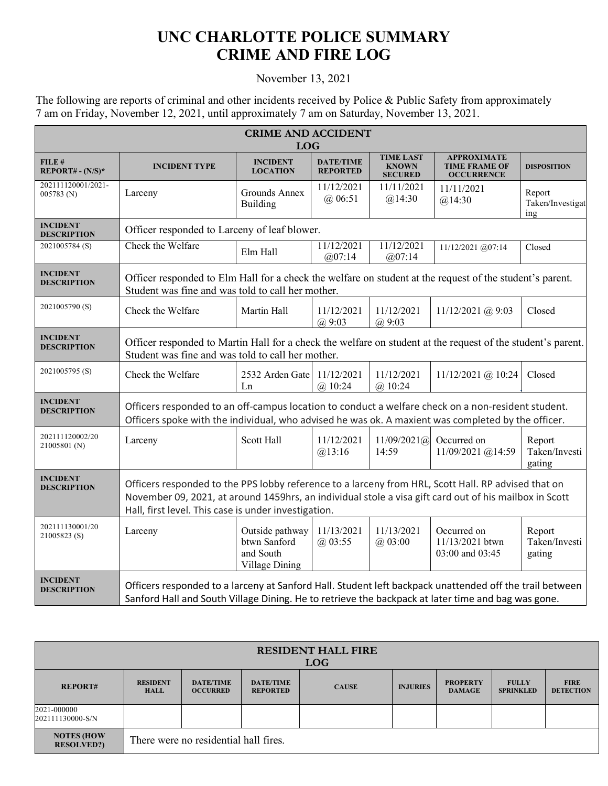## **UNC CHARLOTTE POLICE SUMMARY CRIME AND FIRE LOG**

## November 13, 2021

The following are reports of criminal and other incidents received by Police & Public Safety from approximately 7 am on Friday, November 12, 2021, until approximately 7 am on Saturday, November 13, 2021.

| <b>CRIME AND ACCIDENT</b><br><b>LOG</b> |                                                                                                                                                                                                                                                                       |                                                                |                                     |                                                    |                                                                 |                                             |  |
|-----------------------------------------|-----------------------------------------------------------------------------------------------------------------------------------------------------------------------------------------------------------------------------------------------------------------------|----------------------------------------------------------------|-------------------------------------|----------------------------------------------------|-----------------------------------------------------------------|---------------------------------------------|--|
| FILE#<br>$REPORT# - (N/S)*$             | <b>INCIDENT TYPE</b>                                                                                                                                                                                                                                                  | <b>INCIDENT</b><br><b>LOCATION</b>                             | <b>DATE/TIME</b><br><b>REPORTED</b> | <b>TIME LAST</b><br><b>KNOWN</b><br><b>SECURED</b> | <b>APPROXIMATE</b><br><b>TIME FRAME OF</b><br><b>OCCURRENCE</b> | <b>DISPOSITION</b>                          |  |
| 202111120001/2021-<br>$005783$ (N)      | Larceny                                                                                                                                                                                                                                                               | Grounds Annex<br>Building                                      | 11/12/2021<br>$(a)$ 06:51           | 11/11/2021<br>@14:30                               | 11/11/2021<br>@14:30                                            | Report<br>Taken/Investigat<br>$\frac{1}{2}$ |  |
| <b>INCIDENT</b><br><b>DESCRIPTION</b>   | Officer responded to Larceny of leaf blower.                                                                                                                                                                                                                          |                                                                |                                     |                                                    |                                                                 |                                             |  |
| 2021005784 (S)                          | Check the Welfare                                                                                                                                                                                                                                                     | Elm Hall                                                       | 11/12/2021<br>@07:14                | 11/12/2021<br>@07:14                               | 11/12/2021 @07:14                                               | Closed                                      |  |
| <b>INCIDENT</b><br><b>DESCRIPTION</b>   | Officer responded to Elm Hall for a check the welfare on student at the request of the student's parent.<br>Student was fine and was told to call her mother.                                                                                                         |                                                                |                                     |                                                    |                                                                 |                                             |  |
| 2021005790(S)                           | Check the Welfare                                                                                                                                                                                                                                                     | Martin Hall                                                    | 11/12/2021<br>(a) 9:03              | 11/12/2021<br>(a) 9:03                             | $11/12/2021$ (a) 9:03                                           | Closed                                      |  |
| <b>INCIDENT</b><br><b>DESCRIPTION</b>   | Officer responded to Martin Hall for a check the welfare on student at the request of the student's parent.<br>Student was fine and was told to call her mother.                                                                                                      |                                                                |                                     |                                                    |                                                                 |                                             |  |
| 2021005795 (S)                          | Check the Welfare                                                                                                                                                                                                                                                     | 2532 Arden Gate 11/12/2021<br>Ln                               | $(a)$ 10:24                         | 11/12/2021<br>$(a)$ 10:24                          | $11/12/2021$ (a) $10:24$                                        | Closed                                      |  |
| <b>INCIDENT</b><br><b>DESCRIPTION</b>   | Officers responded to an off-campus location to conduct a welfare check on a non-resident student.<br>Officers spoke with the individual, who advised he was ok. A maxient was completed by the officer.                                                              |                                                                |                                     |                                                    |                                                                 |                                             |  |
| 202111120002/20<br>21005801 (N)         | Larceny                                                                                                                                                                                                                                                               | Scott Hall                                                     | 11/12/2021<br>@13:16                | 11/09/2021(a)<br>14:59                             | Occurred on<br>11/09/2021 @14:59                                | Report<br>Taken/Investi<br>gating           |  |
| <b>INCIDENT</b><br><b>DESCRIPTION</b>   | Officers responded to the PPS lobby reference to a larceny from HRL, Scott Hall. RP advised that on<br>November 09, 2021, at around 1459hrs, an individual stole a visa gift card out of his mailbox in Scott<br>Hall, first level. This case is under investigation. |                                                                |                                     |                                                    |                                                                 |                                             |  |
| 202111130001/20<br>21005823 (S)         | Larceny                                                                                                                                                                                                                                                               | Outside pathway<br>btwn Sanford<br>and South<br>Village Dining | 11/13/2021<br>$(a)$ 03:55           | 11/13/2021<br>@03:00                               | Occurred on<br>11/13/2021 btwn<br>03:00 and 03:45               | Report<br>Taken/Investi<br>gating           |  |
| <b>INCIDENT</b><br><b>DESCRIPTION</b>   | Officers responded to a larceny at Sanford Hall. Student left backpack unattended off the trail between<br>Sanford Hall and South Village Dining. He to retrieve the backpack at later time and bag was gone.                                                         |                                                                |                                     |                                                    |                                                                 |                                             |  |

| <b>RESIDENT HALL FIRE</b><br><b>LOG</b> |                                       |                                     |                                     |              |                 |                                  |                                  |                                 |
|-----------------------------------------|---------------------------------------|-------------------------------------|-------------------------------------|--------------|-----------------|----------------------------------|----------------------------------|---------------------------------|
| <b>REPORT#</b>                          | <b>RESIDENT</b><br><b>HALL</b>        | <b>DATE/TIME</b><br><b>OCCURRED</b> | <b>DATE/TIME</b><br><b>REPORTED</b> | <b>CAUSE</b> | <b>INJURIES</b> | <b>PROPERTY</b><br><b>DAMAGE</b> | <b>FULLY</b><br><b>SPRINKLED</b> | <b>FIRE</b><br><b>DETECTION</b> |
| 2021-000000<br>202111130000-S/N         |                                       |                                     |                                     |              |                 |                                  |                                  |                                 |
| <b>NOTES (HOW</b><br><b>RESOLVED?</b>   | There were no residential hall fires. |                                     |                                     |              |                 |                                  |                                  |                                 |